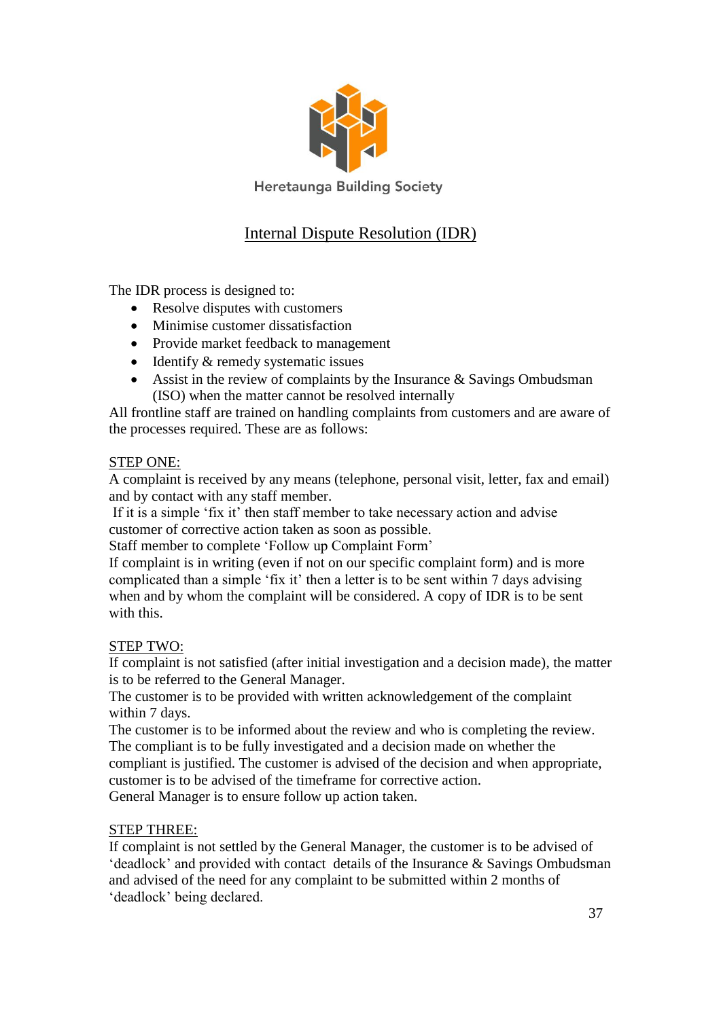

**Heretaunga Building Society** 

## Internal Dispute Resolution (IDR)

The IDR process is designed to:

- Resolve disputes with customers
- Minimise customer dissatisfaction
- Provide market feedback to management
- $\bullet$  Identify & remedy systematic issues
- Assist in the review of complaints by the Insurance  $\&$  Savings Ombudsman (ISO) when the matter cannot be resolved internally

All frontline staff are trained on handling complaints from customers and are aware of the processes required. These are as follows:

## STEP ONE:

A complaint is received by any means (telephone, personal visit, letter, fax and email) and by contact with any staff member.

If it is a simple 'fix it' then staff member to take necessary action and advise customer of corrective action taken as soon as possible.

Staff member to complete 'Follow up Complaint Form'

If complaint is in writing (even if not on our specific complaint form) and is more complicated than a simple 'fix it' then a letter is to be sent within 7 days advising when and by whom the complaint will be considered. A copy of IDR is to be sent with this.

## STEP TWO:

If complaint is not satisfied (after initial investigation and a decision made), the matter is to be referred to the General Manager.

The customer is to be provided with written acknowledgement of the complaint within 7 days.

The customer is to be informed about the review and who is completing the review. The compliant is to be fully investigated and a decision made on whether the compliant is justified. The customer is advised of the decision and when appropriate, customer is to be advised of the timeframe for corrective action. General Manager is to ensure follow up action taken.

## STEP THREE:

If complaint is not settled by the General Manager, the customer is to be advised of 'deadlock' and provided with contact details of the Insurance & Savings Ombudsman and advised of the need for any complaint to be submitted within 2 months of 'deadlock' being declared.